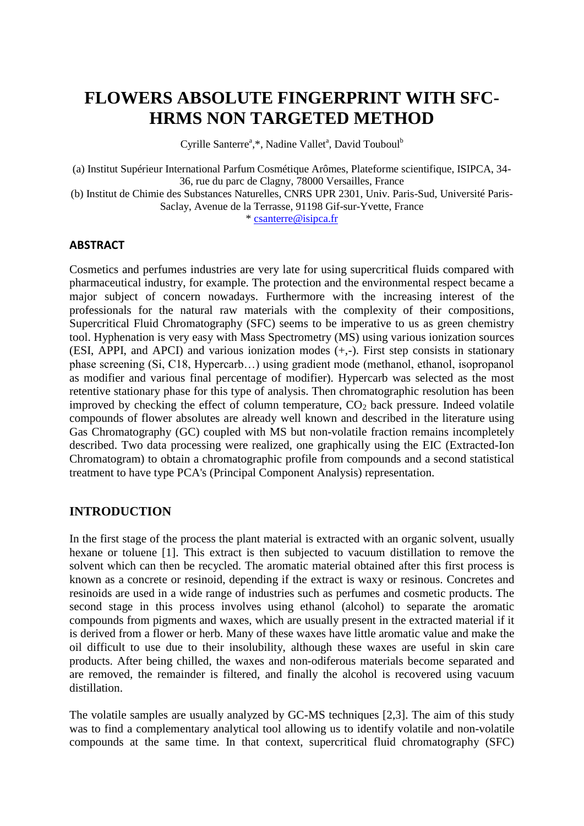# **FLOWERS ABSOLUTE FINGERPRINT WITH SFC-HRMS NON TARGETED METHOD**

Cyrille Santerre<sup>a</sup>,\*, Nadine Vallet<sup>a</sup>, David Touboul<sup>b</sup>

(a) Institut Supérieur International Parfum Cosmétique Arômes, Plateforme scientifique, ISIPCA, 34- 36, rue du parc de Clagny, 78000 Versailles, France (b) Institut de Chimie des Substances Naturelles, CNRS UPR 2301, Univ. Paris-Sud, Université Paris-Saclay, Avenue de la Terrasse, 91198 Gif-sur-Yvette, France

\* [csanterre@isipca.fr](mailto:csanterre@isipca.fr)

#### **ABSTRACT**

Cosmetics and perfumes industries are very late for using supercritical fluids compared with pharmaceutical industry, for example. The protection and the environmental respect became a major subject of concern nowadays. Furthermore with the increasing interest of the professionals for the natural raw materials with the complexity of their compositions, Supercritical Fluid Chromatography (SFC) seems to be imperative to us as green chemistry tool. Hyphenation is very easy with Mass Spectrometry (MS) using various ionization sources (ESI, APPI, and APCI) and various ionization modes (+,-). First step consists in stationary phase screening (Si, C18, Hypercarb…) using gradient mode (methanol, ethanol, isopropanol as modifier and various final percentage of modifier). Hypercarb was selected as the most retentive stationary phase for this type of analysis. Then chromatographic resolution has been improved by checking the effect of column temperature,  $CO<sub>2</sub>$  back pressure. Indeed volatile compounds of flower absolutes are already well known and described in the literature using Gas Chromatography (GC) coupled with MS but non-volatile fraction remains incompletely described. Two data processing were realized, one graphically using the EIC (Extracted-Ion Chromatogram) to obtain a chromatographic profile from compounds and a second statistical treatment to have type PCA's (Principal Component Analysis) representation.

# **INTRODUCTION**

In the first stage of the process the plant material is extracted with an organic solvent, usually hexane or toluene [1]. This extract is then subjected to vacuum distillation to remove the solvent which can then be recycled. The aromatic material obtained after this first process is known as a concrete or resinoid, depending if the extract is waxy or resinous. Concretes and resinoids are used in a wide range of industries such as perfumes and cosmetic products. The second stage in this process involves using ethanol (alcohol) to separate the aromatic compounds from pigments and waxes, which are usually present in the extracted material if it is derived from a flower or herb. Many of these waxes have little aromatic value and make the oil difficult to use due to their insolubility, although these waxes are useful in skin care products. After being chilled, the waxes and non-odiferous materials become separated and are removed, the remainder is filtered, and finally the alcohol is recovered using vacuum distillation.

The volatile samples are usually analyzed by GC-MS techniques [2,3]. The aim of this study was to find a complementary analytical tool allowing us to identify volatile and non-volatile compounds at the same time. In that context, supercritical fluid chromatography (SFC)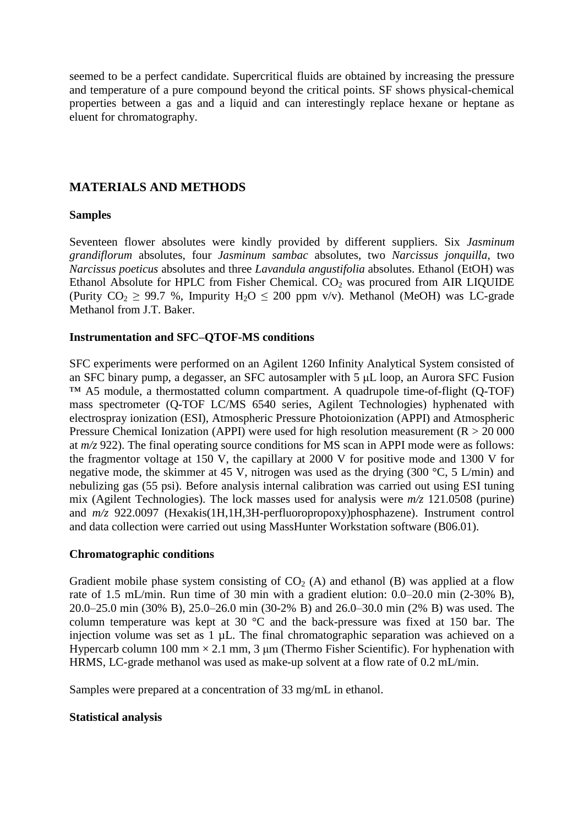seemed to be a perfect candidate. Supercritical fluids are obtained by increasing the pressure and temperature of a pure compound beyond the critical points. SF shows physical-chemical properties between a gas and a liquid and can interestingly replace hexane or heptane as eluent for chromatography.

# **MATERIALS AND METHODS**

## **Samples**

Seventeen flower absolutes were kindly provided by different suppliers. Six *Jasminum grandiflorum* absolutes, four *Jasminum sambac* absolutes, two *Narcissus jonquilla*, two *Narcissus poeticus* absolutes and three *Lavandula angustifolia* absolutes. Ethanol (EtOH) was Ethanol Absolute for HPLC from Fisher Chemical.  $CO<sub>2</sub>$  was procured from AIR LIQUIDE (Purity  $CO_2 \geq 99.7$  %, Impurity  $H_2O \leq 200$  ppm v/v). Methanol (MeOH) was LC-grade Methanol from J.T. Baker.

## **Instrumentation and SFC–QTOF-MS conditions**

SFC experiments were performed on an Agilent 1260 Infinity Analytical System consisted of an SFC binary pump, a degasser, an SFC autosampler with 5 μL loop, an Aurora SFC Fusion ™ A5 module, a thermostatted column compartment. A quadrupole time-of-flight (Q-TOF) mass spectrometer (Q-TOF LC/MS 6540 series, Agilent Technologies) hyphenated with electrospray ionization (ESI), Atmospheric Pressure Photoionization (APPI) and Atmospheric Pressure Chemical Ionization (APPI) were used for high resolution measurement ( $R > 20000$ at *m/z* 922). The final operating source conditions for MS scan in APPI mode were as follows: the fragmentor voltage at 150 V, the capillary at 2000 V for positive mode and 1300 V for negative mode, the skimmer at 45 V, nitrogen was used as the drying (300 °C, 5 L/min) and nebulizing gas (55 psi). Before analysis internal calibration was carried out using ESI tuning mix (Agilent Technologies). The lock masses used for analysis were *m/z* 121.0508 (purine) and *m/z* 922.0097 (Hexakis(1H,1H,3H-perfluoropropoxy)phosphazene). Instrument control and data collection were carried out using MassHunter Workstation software (B06.01).

#### **Chromatographic conditions**

Gradient mobile phase system consisting of  $CO<sub>2</sub>$  (A) and ethanol (B) was applied at a flow rate of 1.5 mL/min. Run time of 30 min with a gradient elution: 0.0–20.0 min (2-30% B), 20.0–25.0 min (30% B), 25.0–26.0 min (30-2% B) and 26.0–30.0 min (2% B) was used. The column temperature was kept at 30 °C and the back-pressure was fixed at 150 bar. The injection volume was set as 1 µL. The final chromatographic separation was achieved on a Hypercarb column 100 mm  $\times$  2.1 mm, 3 µm (Thermo Fisher Scientific). For hyphenation with HRMS, LC-grade methanol was used as make-up solvent at a flow rate of 0.2 mL/min.

Samples were prepared at a concentration of 33 mg/mL in ethanol.

## **Statistical analysis**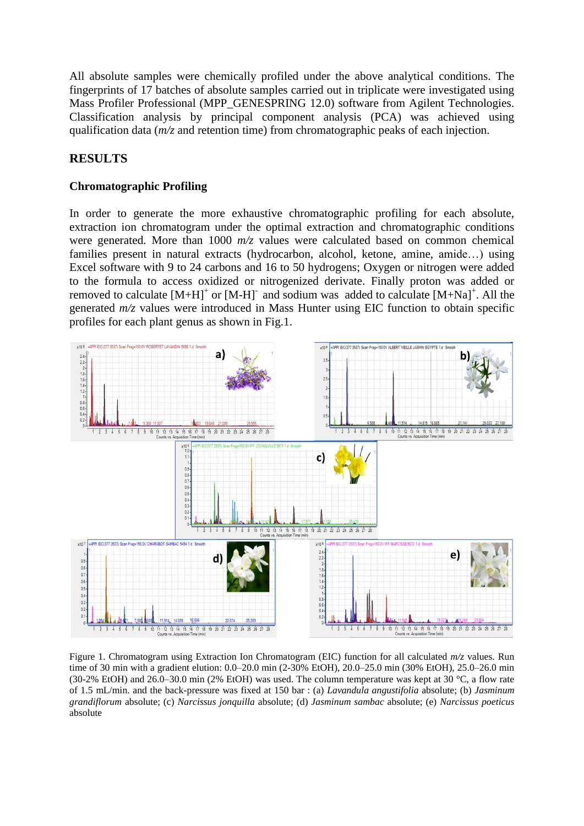All absolute samples were chemically profiled under the above analytical conditions. The fingerprints of 17 batches of absolute samples carried out in triplicate were investigated using Mass Profiler Professional (MPP\_GENESPRING 12.0) software from Agilent Technologies. Classification analysis by principal component analysis (PCA) was achieved using qualification data (*m/z* and retention time) from chromatographic peaks of each injection.

## **RESULTS**

#### **Chromatographic Profiling**

In order to generate the more exhaustive chromatographic profiling for each absolute, extraction ion chromatogram under the optimal extraction and chromatographic conditions were generated. More than 1000 *m/z* values were calculated based on common chemical families present in natural extracts (hydrocarbon, alcohol, ketone, amine, amide…) using Excel software with 9 to 24 carbons and 16 to 50 hydrogens; Oxygen or nitrogen were added to the formula to access oxidized or nitrogenized derivate. Finally proton was added or removed to calculate  $[M+H]^+$  or  $[M-H]^+$  and sodium was added to calculate  $[M+Na]^+$ . All the generated *m/z* values were introduced in Mass Hunter using EIC function to obtain specific profiles for each plant genus as shown in Fig.1.



Figure 1. Chromatogram using Extraction Ion Chromatogram (EIC) function for all calculated *m/z* values. Run time of 30 min with a gradient elution: 0.0–20.0 min (2-30% EtOH), 20.0–25.0 min (30% EtOH), 25.0–26.0 min (30-2% EtOH) and 26.0–30.0 min (2% EtOH) was used. The column temperature was kept at 30 °C, a flow rate of 1.5 mL/min. and the back-pressure was fixed at 150 bar : (a) *Lavandula angustifolia* absolute; (b) *Jasminum grandiflorum* absolute; (c) *Narcissus jonquilla* absolute; (d) *Jasminum sambac* absolute; (e) *Narcissus poeticus* absolute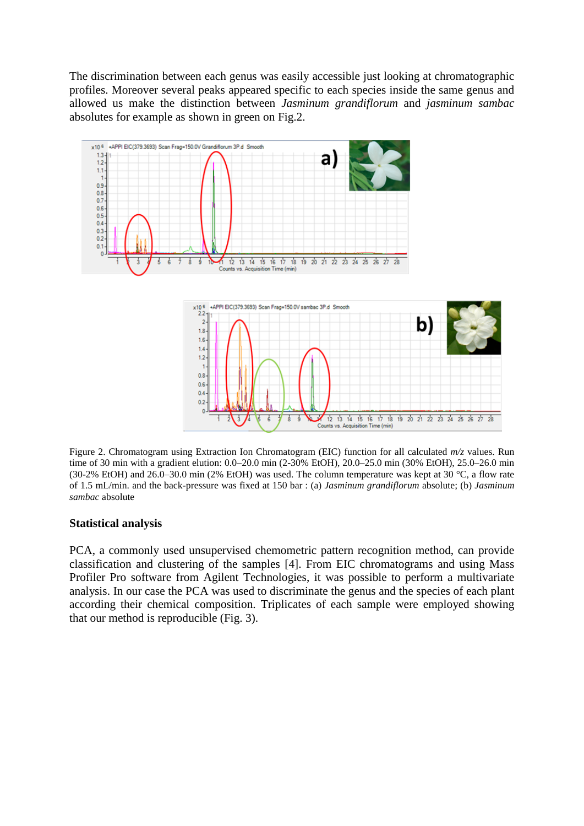The discrimination between each genus was easily accessible just looking at chromatographic profiles. Moreover several peaks appeared specific to each species inside the same genus and allowed us make the distinction between *Jasminum grandiflorum* and *jasminum sambac* absolutes for example as shown in green on Fig.2.





Figure 2. Chromatogram using Extraction Ion Chromatogram (EIC) function for all calculated *m/z* values. Run time of 30 min with a gradient elution: 0.0–20.0 min (2-30% EtOH), 20.0–25.0 min (30% EtOH), 25.0–26.0 min (30-2% EtOH) and 26.0–30.0 min (2% EtOH) was used. The column temperature was kept at 30 °C, a flow rate of 1.5 mL/min. and the back-pressure was fixed at 150 bar : (a) *Jasminum grandiflorum* absolute; (b) *Jasminum sambac* absolute

#### **Statistical analysis**

PCA, a commonly used unsupervised chemometric pattern recognition method, can provide classification and clustering of the samples [4]. From EIC chromatograms and using Mass Profiler Pro software from Agilent Technologies, it was possible to perform a multivariate analysis. In our case the PCA was used to discriminate the genus and the species of each plant according their chemical composition. Triplicates of each sample were employed showing that our method is reproducible (Fig. 3).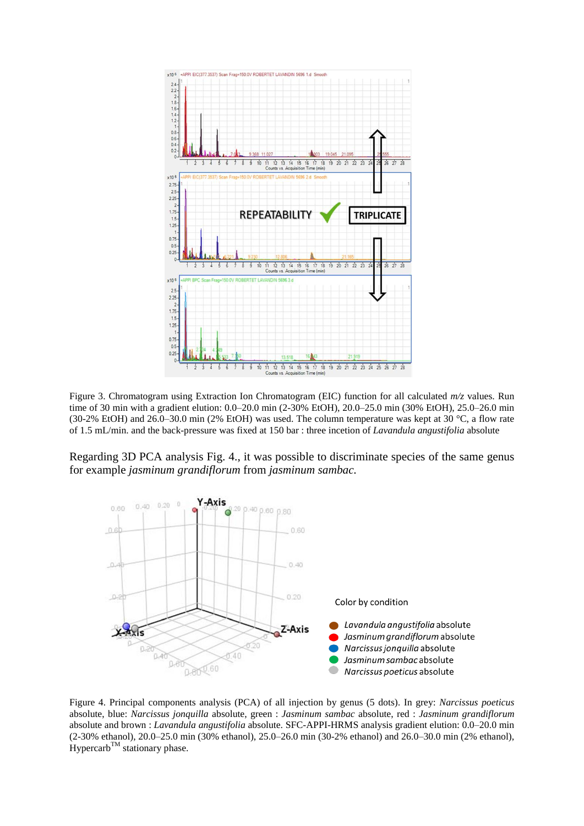

Figure 3. Chromatogram using Extraction Ion Chromatogram (EIC) function for all calculated *m/z* values. Run time of 30 min with a gradient elution: 0.0–20.0 min (2-30% EtOH), 20.0–25.0 min (30% EtOH), 25.0–26.0 min (30-2% EtOH) and 26.0–30.0 min (2% EtOH) was used. The column temperature was kept at 30 °C, a flow rate of 1.5 mL/min. and the back-pressure was fixed at 150 bar : three incetion of *Lavandula angustifolia* absolute

Regarding 3D PCA analysis Fig. 4., it was possible to discriminate species of the same genus for example *jasminum grandiflorum* from *jasminum sambac.*



Figure 4. Principal components analysis (PCA) of all injection by genus (5 dots). In grey: *Narcissus poeticus* absolute, blue: *Narcissus jonquilla* absolute, green : *Jasminum sambac* absolute, red : *Jasminum grandiflorum* absolute and brown : *Lavandula angustifolia* absolute. SFC-APPI-HRMS analysis gradient elution: 0.0–20.0 min (2-30% ethanol), 20.0–25.0 min (30% ethanol), 25.0–26.0 min (30-2% ethanol) and 26.0–30.0 min (2% ethanol),  $Hypercarb<sup>TM</sup>$  stationary phase.